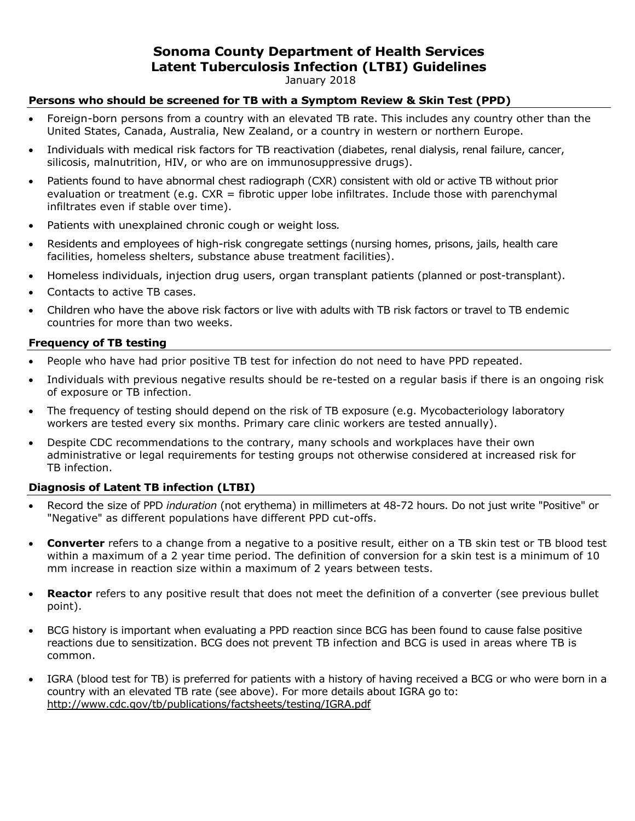## **Sonoma County Department of Health Services Latent Tuberculosis Infection (LTBI) Guidelines**

January 2018

### **Persons who should be screened for TB with a Symptom Review & Skin Test (PPD)**

- Foreign-born persons from a country with an elevated TB rate. This includes any country other than the United States, Canada, Australia, New Zealand, or a country in western or northern Europe.
- Individuals with medical risk factors for TB reactivation (diabetes, renal dialysis, renal failure, cancer, silicosis, malnutrition, HIV, or who are on immunosuppressive drugs).
- Patients found to have abnormal chest radiograph (CXR) consistent with old or active TB without prior evaluation or treatment (e.g. CXR = fibrotic upper lobe infiltrates. Include those with parenchymal infiltrates even if stable over time).
- Patients with unexplained chronic cough or weight loss*.*
- Residents and employees of high-risk congregate settings (nursing homes, prisons, jails, health care facilities, homeless shelters, substance abuse treatment facilities).
- Homeless individuals, injection drug users, organ transplant patients (planned or post-transplant).
- Contacts to active TB cases.
- Children who have the above risk factors or live with adults with TB risk factors or travel to TB endemic countries for more than two weeks.

#### **Frequency of TB testing**

- People who have had prior positive TB test for infection do not need to have PPD repeated.
- Individuals with previous negative results should be re-tested on a regular basis if there is an ongoing risk of exposure or TB infection.
- The frequency of testing should depend on the risk of TB exposure (e.g. Mycobacteriology laboratory workers are tested every six months. Primary care clinic workers are tested annually).
- Despite CDC recommendations to the contrary, many schools and workplaces have their own administrative or legal requirements for testing groups not otherwise considered at increased risk for TB infection.

#### **Diagnosis of Latent TB infection (LTBI)**

- Record the size of PPD *induration* (not erythema) in millimeters at 48-72 hours. Do not just write "Positive" or "Negative" as different populations have different PPD cut-offs.
- **Converter** refers to a change from a negative to a positive result, either on a TB skin test or TB blood test within a maximum of a 2 year time period. The definition of conversion for a skin test is a minimum of 10 mm increase in reaction size within a maximum of 2 years between tests.
- **Reactor** refers to any positive result that does not meet the definition of a converter (see previous bullet point).
- BCG history is important when evaluating a PPD reaction since BCG has been found to cause false positive reactions due to sensitization. BCG does not prevent TB infection and BCG is used in areas where TB is common.
- IGRA (blood test for TB) is preferred for patients with a history of having received a BCG or who were born in a country with an elevated TB rate (see above). For more details about IGRA go to: <http://www.cdc.gov/tb/publications/factsheets/testing/IGRA.pdf>